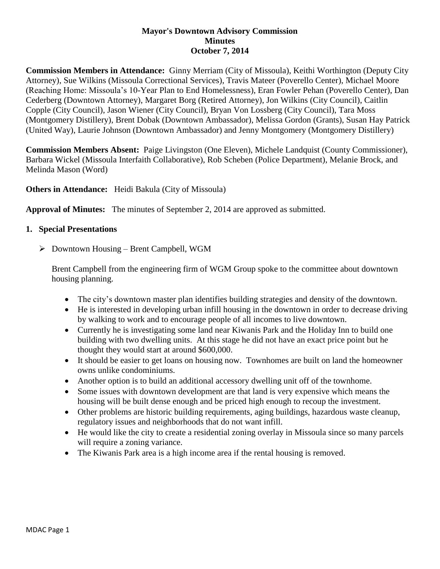## **Mayor's Downtown Advisory Commission Minutes October 7, 2014**

**Commission Members in Attendance:** Ginny Merriam (City of Missoula), Keithi Worthington (Deputy City Attorney), Sue Wilkins (Missoula Correctional Services), Travis Mateer (Poverello Center), Michael Moore (Reaching Home: Missoula's 10-Year Plan to End Homelessness), Eran Fowler Pehan (Poverello Center), Dan Cederberg (Downtown Attorney), Margaret Borg (Retired Attorney), Jon Wilkins (City Council), Caitlin Copple (City Council), Jason Wiener (City Council), Bryan Von Lossberg (City Council), Tara Moss (Montgomery Distillery), Brent Dobak (Downtown Ambassador), Melissa Gordon (Grants), Susan Hay Patrick (United Way), Laurie Johnson (Downtown Ambassador) and Jenny Montgomery (Montgomery Distillery)

**Commission Members Absent:** Paige Livingston (One Eleven), Michele Landquist (County Commissioner), Barbara Wickel (Missoula Interfaith Collaborative), Rob Scheben (Police Department), Melanie Brock, and Melinda Mason (Word)

**Others in Attendance:** Heidi Bakula (City of Missoula)

**Approval of Minutes:** The minutes of September 2, 2014 are approved as submitted.

## **1. Special Presentations**

Downtown Housing – Brent Campbell, WGM

Brent Campbell from the engineering firm of WGM Group spoke to the committee about downtown housing planning.

- The city's downtown master plan identifies building strategies and density of the downtown.
- He is interested in developing urban infill housing in the downtown in order to decrease driving by walking to work and to encourage people of all incomes to live downtown.
- Currently he is investigating some land near Kiwanis Park and the Holiday Inn to build one building with two dwelling units. At this stage he did not have an exact price point but he thought they would start at around \$600,000.
- It should be easier to get loans on housing now. Townhomes are built on land the homeowner owns unlike condominiums.
- Another option is to build an additional accessory dwelling unit off of the townhome.
- Some issues with downtown development are that land is very expensive which means the housing will be built dense enough and be priced high enough to recoup the investment.
- Other problems are historic building requirements, aging buildings, hazardous waste cleanup, regulatory issues and neighborhoods that do not want infill.
- He would like the city to create a residential zoning overlay in Missoula since so many parcels will require a zoning variance.
- The Kiwanis Park area is a high income area if the rental housing is removed.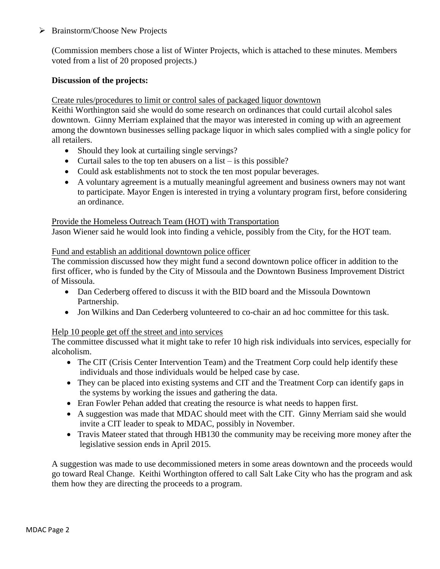## Brainstorm/Choose New Projects

(Commission members chose a list of Winter Projects, which is attached to these minutes. Members voted from a list of 20 proposed projects.)

# **Discussion of the projects:**

#### Create rules/procedures to limit or control sales of packaged liquor downtown

Keithi Worthington said she would do some research on ordinances that could curtail alcohol sales downtown. Ginny Merriam explained that the mayor was interested in coming up with an agreement among the downtown businesses selling package liquor in which sales complied with a single policy for all retailers.

- Should they look at curtailing single servings?
- Curtail sales to the top ten abusers on a list  $-$  is this possible?
- Could ask establishments not to stock the ten most popular beverages.
- A voluntary agreement is a mutually meaningful agreement and business owners may not want to participate. Mayor Engen is interested in trying a voluntary program first, before considering an ordinance.

#### Provide the Homeless Outreach Team (HOT) with Transportation

Jason Wiener said he would look into finding a vehicle, possibly from the City, for the HOT team.

#### Fund and establish an additional downtown police officer

The commission discussed how they might fund a second downtown police officer in addition to the first officer, who is funded by the City of Missoula and the Downtown Business Improvement District of Missoula.

- Dan Cederberg offered to discuss it with the BID board and the Missoula Downtown Partnership.
- Jon Wilkins and Dan Cederberg volunteered to co-chair an ad hoc committee for this task.

# Help 10 people get off the street and into services

The committee discussed what it might take to refer 10 high risk individuals into services, especially for alcoholism.

- The CIT (Crisis Center Intervention Team) and the Treatment Corp could help identify these individuals and those individuals would be helped case by case.
- They can be placed into existing systems and CIT and the Treatment Corp can identify gaps in the systems by working the issues and gathering the data.
- Eran Fowler Pehan added that creating the resource is what needs to happen first.
- A suggestion was made that MDAC should meet with the CIT. Ginny Merriam said she would invite a CIT leader to speak to MDAC, possibly in November.
- Travis Mateer stated that through HB130 the community may be receiving more money after the legislative session ends in April 2015.

A suggestion was made to use decommissioned meters in some areas downtown and the proceeds would go toward Real Change. Keithi Worthington offered to call Salt Lake City who has the program and ask them how they are directing the proceeds to a program.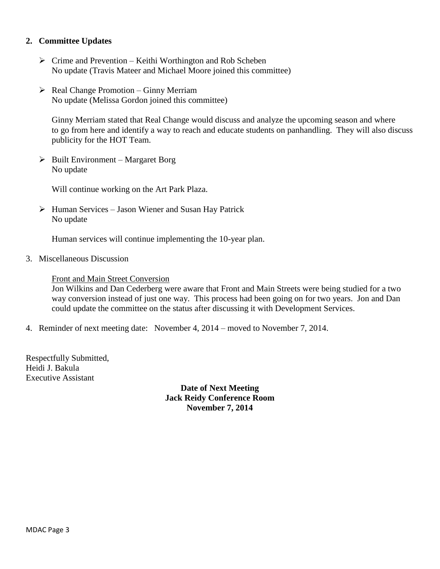## **2. Committee Updates**

- $\triangleright$  Crime and Prevention Keithi Worthington and Rob Scheben No update (Travis Mateer and Michael Moore joined this committee)
- $\triangleright$  Real Change Promotion Ginny Merriam No update (Melissa Gordon joined this committee)

Ginny Merriam stated that Real Change would discuss and analyze the upcoming season and where to go from here and identify a way to reach and educate students on panhandling. They will also discuss publicity for the HOT Team.

 $\triangleright$  Built Environment – Margaret Borg No update

Will continue working on the Art Park Plaza.

 $\triangleright$  Human Services – Jason Wiener and Susan Hay Patrick No update

Human services will continue implementing the 10-year plan.

3. Miscellaneous Discussion

## Front and Main Street Conversion

Jon Wilkins and Dan Cederberg were aware that Front and Main Streets were being studied for a two way conversion instead of just one way. This process had been going on for two years. Jon and Dan could update the committee on the status after discussing it with Development Services.

4. Reminder of next meeting date: November 4, 2014 – moved to November 7, 2014.

Respectfully Submitted, Heidi J. Bakula Executive Assistant

> **Date of Next Meeting Jack Reidy Conference Room November 7, 2014**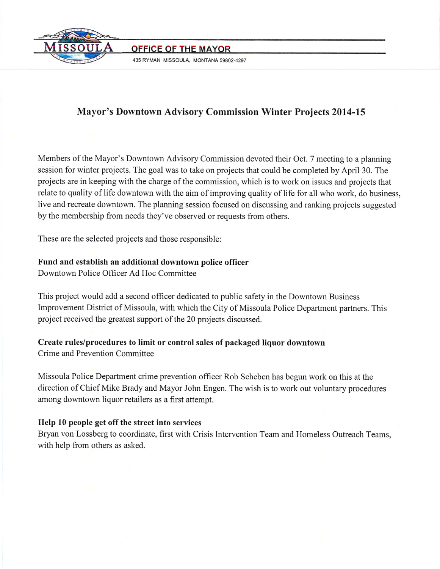

**OFFICE OF THE MAYOR** 

435 RYMAN MISSOULA, MONTANA 59802-4297

# **Mayor's Downtown Advisory Commission Winter Projects 2014-15**

Members of the Mayor's Downtown Advisory Commission devoted their Oct. 7 meeting to a planning session for winter projects. The goal was to take on projects that could be completed by April 30. The projects are in keeping with the charge of the commission, which is to work on issues and projects that relate to quality of life downtown with the aim of improving quality of life for all who work, do business, live and recreate downtown. The planning session focused on discussing and ranking projects suggested by the membership from needs they've observed or requests from others.

These are the selected projects and those responsible:

# Fund and establish an additional downtown police officer

Downtown Police Officer Ad Hoc Committee

This project would add a second officer dedicated to public safety in the Downtown Business Improvement District of Missoula, with which the City of Missoula Police Department partners. This project received the greatest support of the 20 projects discussed.

Create rules/procedures to limit or control sales of packaged liquor downtown Crime and Prevention Committee

Missoula Police Department crime prevention officer Rob Scheben has begun work on this at the direction of Chief Mike Brady and Mayor John Engen. The wish is to work out voluntary procedures among downtown liquor retailers as a first attempt.

# Help 10 people get off the street into services

Bryan von Lossberg to coordinate, first with Crisis Intervention Team and Homeless Outreach Teams, with help from others as asked.